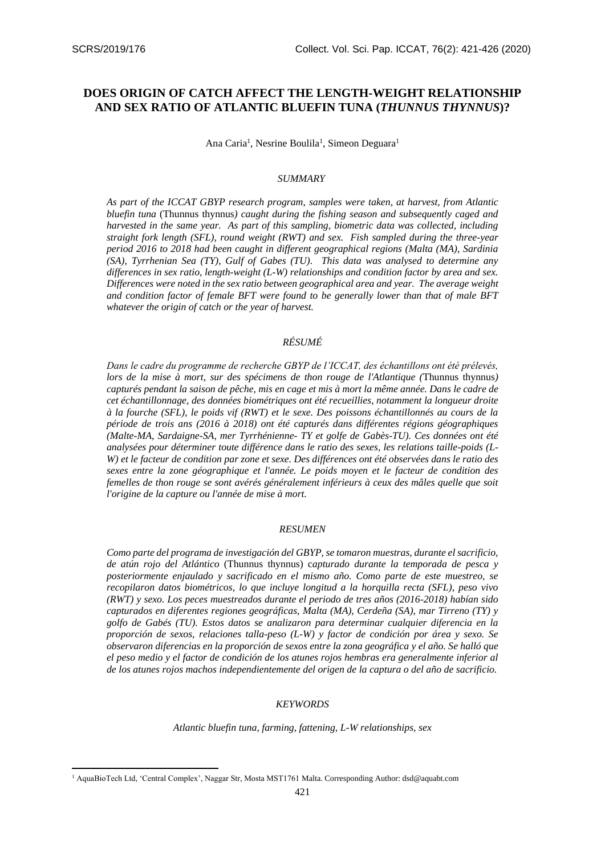# **DOES ORIGIN OF CATCH AFFECT THE LENGTH-WEIGHT RELATIONSHIP AND SEX RATIO OF ATLANTIC BLUEFIN TUNA (***THUNNUS THYNNUS***)?**

Ana Caria<sup>1</sup>, Nesrine Boulila<sup>1</sup>, Simeon Deguara<sup>1</sup>

#### *SUMMARY*

*As part of the ICCAT GBYP research program, samples were taken, at harvest, from Atlantic bluefin tuna* (Thunnus thynnus*) caught during the fishing season and subsequently caged and harvested in the same year. As part of this sampling, biometric data was collected, including straight fork length (SFL), round weight (RWT) and sex. Fish sampled during the three-year period 2016 to 2018 had been caught in different geographical regions (Malta (MA), Sardinia (SA), Tyrrhenian Sea (TY), Gulf of Gabes (TU). This data was analysed to determine any differences in sex ratio, length-weight (L-W) relationships and condition factor by area and sex. Differences were noted in the sex ratio between geographical area and year. The average weight and condition factor of female BFT were found to be generally lower than that of male BFT whatever the origin of catch or the year of harvest.*

## *RÉSUMÉ*

*Dans le cadre du programme de recherche GBYP de l'ICCAT, des échantillons ont été prélevés, lors de la mise à mort, sur des spécimens de thon rouge de l'Atlantique (*Thunnus thynnus*) capturés pendant la saison de pêche, mis en cage et mis à mort la même année. Dans le cadre de cet échantillonnage, des données biométriques ont été recueillies, notamment la longueur droite à la fourche (SFL), le poids vif (RWT) et le sexe. Des poissons échantillonnés au cours de la période de trois ans (2016 à 2018) ont été capturés dans différentes régions géographiques (Malte-MA, Sardaigne-SA, mer Tyrrhénienne- TY et golfe de Gabès-TU). Ces données ont été analysées pour déterminer toute différence dans le ratio des sexes, les relations taille-poids (L-W) et le facteur de condition par zone et sexe. Des différences ont été observées dans le ratio des sexes entre la zone géographique et l'année. Le poids moyen et le facteur de condition des femelles de thon rouge se sont avérés généralement inférieurs à ceux des mâles quelle que soit l'origine de la capture ou l'année de mise à mort.*

#### *RESUMEN*

*Como parte del programa de investigación del GBYP, se tomaron muestras, durante el sacrificio, de atún rojo del Atlántico* (Thunnus thynnus) c*apturado durante la temporada de pesca y posteriormente enjaulado y sacrificado en el mismo año. Como parte de este muestreo, se recopilaron datos biométricos, lo que incluye longitud a la horquilla recta (SFL), peso vivo (RWT) y sexo. Los peces muestreados durante el periodo de tres años (2016-2018) habían sido capturados en diferentes regiones geográficas, Malta (MA), Cerdeña (SA), mar Tirreno (TY) y golfo de Gabés (TU). Estos datos se analizaron para determinar cualquier diferencia en la proporción de sexos, relaciones talla-peso (L-W) y factor de condición por área y sexo. Se observaron diferencias en la proporción de sexos entre la zona geográfica y el año. Se halló que el peso medio y el factor de condición de los atunes rojos hembras era generalmente inferior al de los atunes rojos machos independientemente del origen de la captura o del año de sacrificio.*

#### *KEYWORDS*

*Atlantic bluefin tuna, farming, fattening, L-W relationships, sex*

<sup>1</sup> AquaBioTech Ltd, 'Central Complex', Naggar Str, Mosta MST1761 Malta. Corresponding Author: dsd@aquabt.com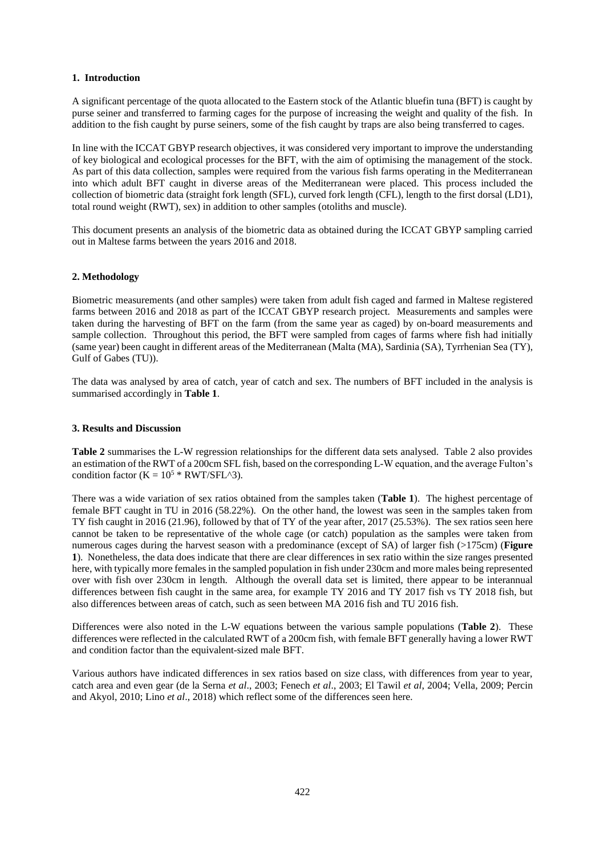## **1. Introduction**

A significant percentage of the quota allocated to the Eastern stock of the Atlantic bluefin tuna (BFT) is caught by purse seiner and transferred to farming cages for the purpose of increasing the weight and quality of the fish. In addition to the fish caught by purse seiners, some of the fish caught by traps are also being transferred to cages.

In line with the ICCAT GBYP research objectives, it was considered very important to improve the understanding of key biological and ecological processes for the BFT, with the aim of optimising the management of the stock. As part of this data collection, samples were required from the various fish farms operating in the Mediterranean into which adult BFT caught in diverse areas of the Mediterranean were placed. This process included the collection of biometric data (straight fork length (SFL), curved fork length (CFL), length to the first dorsal (LD1), total round weight (RWT), sex) in addition to other samples (otoliths and muscle).

This document presents an analysis of the biometric data as obtained during the ICCAT GBYP sampling carried out in Maltese farms between the years 2016 and 2018.

## **2. Methodology**

Biometric measurements (and other samples) were taken from adult fish caged and farmed in Maltese registered farms between 2016 and 2018 as part of the ICCAT GBYP research project. Measurements and samples were taken during the harvesting of BFT on the farm (from the same year as caged) by on-board measurements and sample collection. Throughout this period, the BFT were sampled from cages of farms where fish had initially (same year) been caught in different areas of the Mediterranean (Malta (MA), Sardinia (SA), Tyrrhenian Sea (TY), Gulf of Gabes (TU)).

The data was analysed by area of catch, year of catch and sex. The numbers of BFT included in the analysis is summarised accordingly in **Table 1**.

## **3. Results and Discussion**

**Table 2** summarises the L-W regression relationships for the different data sets analysed. Table 2 also provides an estimation of the RWT of a 200cm SFL fish, based on the corresponding L-W equation, and the average Fulton's condition factor ( $K = 10^5$  \* RWT/SFL^3).

There was a wide variation of sex ratios obtained from the samples taken (**Table 1**). The highest percentage of female BFT caught in TU in 2016 (58.22%). On the other hand, the lowest was seen in the samples taken from TY fish caught in 2016 (21.96), followed by that of TY of the year after, 2017 (25.53%). The sex ratios seen here cannot be taken to be representative of the whole cage (or catch) population as the samples were taken from numerous cages during the harvest season with a predominance (except of SA) of larger fish (>175cm) (**Figure 1**). Nonetheless, the data does indicate that there are clear differences in sex ratio within the size ranges presented here, with typically more females in the sampled population in fish under 230cm and more males being represented over with fish over 230cm in length. Although the overall data set is limited, there appear to be interannual differences between fish caught in the same area, for example TY 2016 and TY 2017 fish vs TY 2018 fish, but also differences between areas of catch, such as seen between MA 2016 fish and TU 2016 fish.

Differences were also noted in the L-W equations between the various sample populations (**Table 2**). These differences were reflected in the calculated RWT of a 200cm fish, with female BFT generally having a lower RWT and condition factor than the equivalent-sized male BFT.

Various authors have indicated differences in sex ratios based on size class, with differences from year to year, catch area and even gear (de la Serna *et al*., 2003; Fenech *et al*., 2003; El Tawil *et al*, 2004; Vella, 2009; Percin and Akyol, 2010; Lino *et al*., 2018) which reflect some of the differences seen here.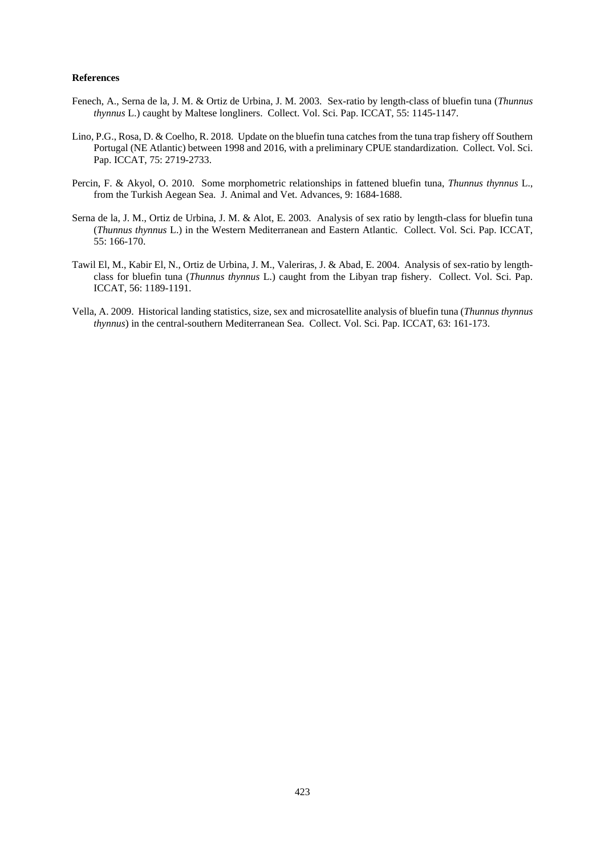### **References**

- Fenech, A., Serna de la, J. M. & Ortiz de Urbina, J. M. 2003. Sex-ratio by length-class of bluefin tuna (*Thunnus thynnus* L.) caught by Maltese longliners. Collect. Vol. Sci. Pap. ICCAT, 55: 1145-1147.
- Lino, P.G., Rosa, D. & Coelho, R. 2018. Update on the bluefin tuna catches from the tuna trap fishery off Southern Portugal (NE Atlantic) between 1998 and 2016, with a preliminary CPUE standardization. Collect. Vol. Sci. Pap. ICCAT, 75: 2719-2733.
- Percin, F. & Akyol, O. 2010. Some morphometric relationships in fattened bluefin tuna, *Thunnus thynnus* L., from the Turkish Aegean Sea. J. Animal and Vet. Advances, 9: 1684-1688.
- Serna de la, J. M., Ortiz de Urbina, J. M. & Alot, E. 2003. Analysis of sex ratio by length-class for bluefin tuna (*Thunnus thynnus* L.) in the Western Mediterranean and Eastern Atlantic. Collect. Vol. Sci. Pap. ICCAT, 55: 166-170.
- Tawil El, M., Kabir El, N., Ortiz de Urbina, J. M., Valeriras, J. & Abad, E. 2004. Analysis of sex-ratio by lengthclass for bluefin tuna (*Thunnus thynnus* L.) caught from the Libyan trap fishery. Collect. Vol. Sci. Pap. ICCAT, 56: 1189-1191.
- Vella, A. 2009. Historical landing statistics, size, sex and microsatellite analysis of bluefin tuna (*Thunnus thynnus thynnus*) in the central-southern Mediterranean Sea. Collect. Vol. Sci. Pap. ICCAT, 63: 161-173.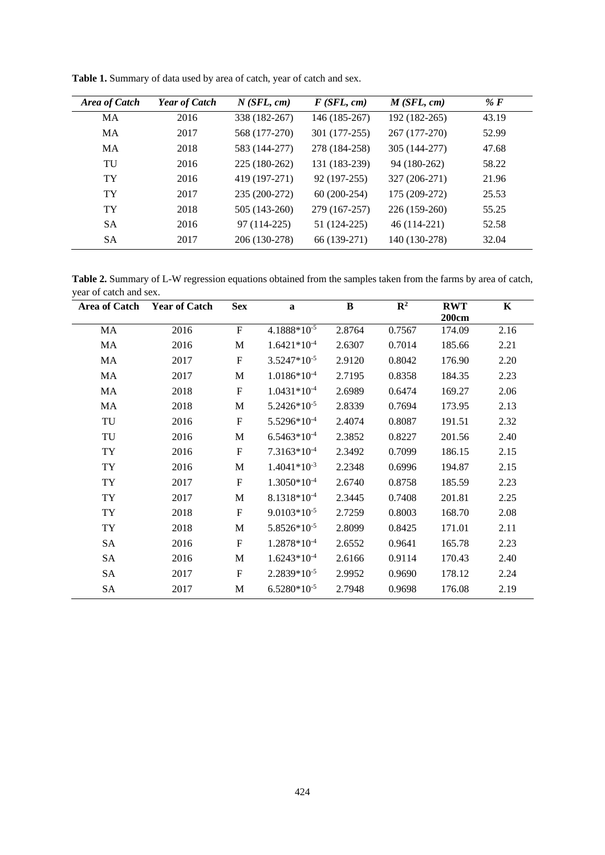| Area of Catch | <b>Year of Catch</b> | N(SFL, cm)    | F(SFL, cm)    | M(SFL, cm)    | % $F$ |
|---------------|----------------------|---------------|---------------|---------------|-------|
| MA            | 2016                 | 338 (182-267) | 146 (185-267) | 192 (182-265) | 43.19 |
| MA            | 2017                 | 568 (177-270) | 301 (177-255) | 267 (177-270) | 52.99 |
| MA            | 2018                 | 583 (144-277) | 278 (184-258) | 305 (144-277) | 47.68 |
| TU            | 2016                 | 225 (180-262) | 131 (183-239) | 94 (180-262)  | 58.22 |
| TY            | 2016                 | 419 (197-271) | 92 (197-255)  | 327 (206-271) | 21.96 |
| TY            | 2017                 | 235 (200-272) | 60 (200-254)  | 175 (209-272) | 25.53 |
| <b>TY</b>     | 2018                 | 505 (143-260) | 279 (167-257) | 226 (159-260) | 55.25 |
| <b>SA</b>     | 2016                 | 97 (114-225)  | 51 (124-225)  | 46 (114-221)  | 52.58 |
| <b>SA</b>     | 2017                 | 206 (130-278) | 66 (139-271)  | 140 (130-278) | 32.04 |

**Table 1.** Summary of data used by area of catch, year of catch and sex.

**Table 2.** Summary of L-W regression equations obtained from the samples taken from the farms by area of catch, year of catch and sex.

| <b>Area of Catch</b> | <b>Year of Catch</b> | <b>Sex</b>       | a                       | $\, {\bf B}$ | $\overline{\mathbb{R}^2}$ | <b>RWT</b><br>200cm | $\mathbf K$ |
|----------------------|----------------------|------------------|-------------------------|--------------|---------------------------|---------------------|-------------|
| MA                   | 2016                 | $\mathbf F$      | 4.1888*10-5             | 2.8764       | 0.7567                    | 174.09              | 2.16        |
| MA                   | 2016                 | $\mathbf M$      | $1.6421*10-4$           | 2.6307       | 0.7014                    | 185.66              | 2.21        |
| MA                   | 2017                 | $\mathbf F$      | $3.5247*10^{-5}$        | 2.9120       | 0.8042                    | 176.90              | 2.20        |
| MA                   | 2017                 | $\mathbf M$      | $1.0186*10-4$           | 2.7195       | 0.8358                    | 184.35              | 2.23        |
| MA                   | 2018                 | ${\bf F}$        | $1.0431*10^{-4}$        | 2.6989       | 0.6474                    | 169.27              | 2.06        |
| MA                   | 2018                 | M                | $5.2426*10^{-5}$        | 2.8339       | 0.7694                    | 173.95              | 2.13        |
| TU                   | 2016                 | $\mathbf{F}$     | $5.5296*10^{-4}$        | 2.4074       | 0.8087                    | 191.51              | 2.32        |
| TU                   | 2016                 | M                | $6.5463*10^{-4}$        | 2.3852       | 0.8227                    | 201.56              | 2.40        |
| TY                   | 2016                 | $\mathbf F$      | $7.3163*10-4$           | 2.3492       | 0.7099                    | 186.15              | 2.15        |
| TY                   | 2016                 | $\mathbf M$      | $1.4041*10^{-3}$        | 2.2348       | 0.6996                    | 194.87              | 2.15        |
| <b>TY</b>            | 2017                 | ${\bf F}$        | $1.3050*10-4$           | 2.6740       | 0.8758                    | 185.59              | 2.23        |
| <b>TY</b>            | 2017                 | $\mathbf M$      | 8.1318*10 <sup>-4</sup> | 2.3445       | 0.7408                    | 201.81              | 2.25        |
| TY                   | 2018                 | $\boldsymbol{F}$ | $9.0103*10-5$           | 2.7259       | 0.8003                    | 168.70              | 2.08        |
| TY                   | 2018                 | M                | 5.8526*10-5             | 2.8099       | 0.8425                    | 171.01              | 2.11        |
| SA                   | 2016                 | $\mathbf F$      | $1.2878*10^{-4}$        | 2.6552       | 0.9641                    | 165.78              | 2.23        |
| SA                   | 2016                 | M                | $1.6243*10^{-4}$        | 2.6166       | 0.9114                    | 170.43              | 2.40        |
| <b>SA</b>            | 2017                 | F                | $2.2839*10^{-5}$        | 2.9952       | 0.9690                    | 178.12              | 2.24        |
| SA                   | 2017                 | M                | $6.5280*10-5$           | 2.7948       | 0.9698                    | 176.08              | 2.19        |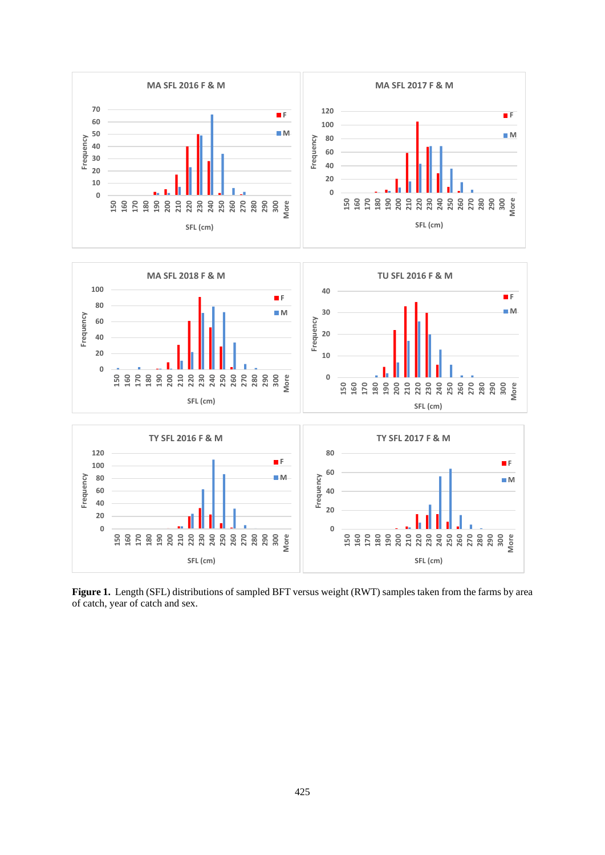

**Figure 1.** Length (SFL) distributions of sampled BFT versus weight (RWT) samples taken from the farms by area of catch, year of catch and sex.